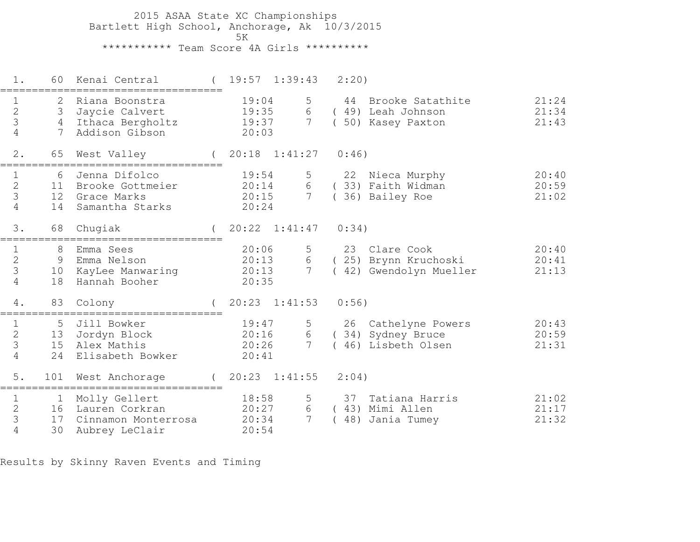2015 ASAA State XC Championships Bartlett High School, Anchorage, Ak 10/3/2015ta di kacamatan ing Kabupatèn Kabupatèn Kabupatèn Kabupatèn Kabupatèn Kabupatèn Kabupatèn Kabupatèn K \*\*\*\*\*\*\*\*\*\*\* Team Score 4A Girls \*\*\*\*\*\*\*\*\*\*

 1. 60 Kenai Central ( 19:57 1:39:43 2:20)=================================== 1 2 Riana Boonstra 19:04 5 44 Brooke Satathite 21:24 2 3 Jaycie Calvert 19:35 6 ( 49) Leah Johnson 21:34 3 4 Ithaca Bergholtz 19:37 7 ( 50) Kasey Paxton 21:43 4 7 Addison Gibson 20:03 2. 65 West Valley ( 20:18 1:41:27 0:46)=================================== 1 6 Jenna Difolco 19:54 5 22 Nieca Murphy 20:40 2 11 Brooke Gottmeier 20:14 6 ( 33) Faith Widman 20:59 3 12 Grace Marks 20:15 7 ( 36) Bailey Roe 21:02 4 14 Samantha Starks 20:24 3. 68 Chugiak ( 20:22 1:41:47 0:34)=================================== 1 8 Emma Sees 20:06 5 23 Clare Cook 20:40 $20:41$  2 9 Emma Nelson 20:13 6 ( 25) Brynn Kruchoski 20:41 $21:13$  3 10 KayLee Manwaring 20:13 7 ( 42) Gwendolyn Mueller 21:13 4 18 Hannah Booher 20:35 4. 83 Colony ( 20:23 1:41:53 0:56)=================================== 1 5 Jill Bowker 19:47 5 26 Cathelyne Powers 20:43 2 13 Jordyn Block 20:16 6 ( 34) Sydney Bruce 20:59 3 15 Alex Mathis 20:26 7 ( 46) Lisbeth Olsen 21:31 4 24 Elisabeth Bowker 20:41 5. 101 West Anchorage ( 20:23 1:41:55 2:04)===================================1 1 Molly Gellert 18:58 5 37 Tatiana Harris 21:02 2 16 Lauren Corkran 20:27 6 ( 43) Mimi Allen 21:17 3 17 Cinnamon Monterrosa 20:34 7 ( 48) Jania Tumey 21:32 4 30 Aubrey LeClair 20:54

Results by Skinny Raven Events and Timing